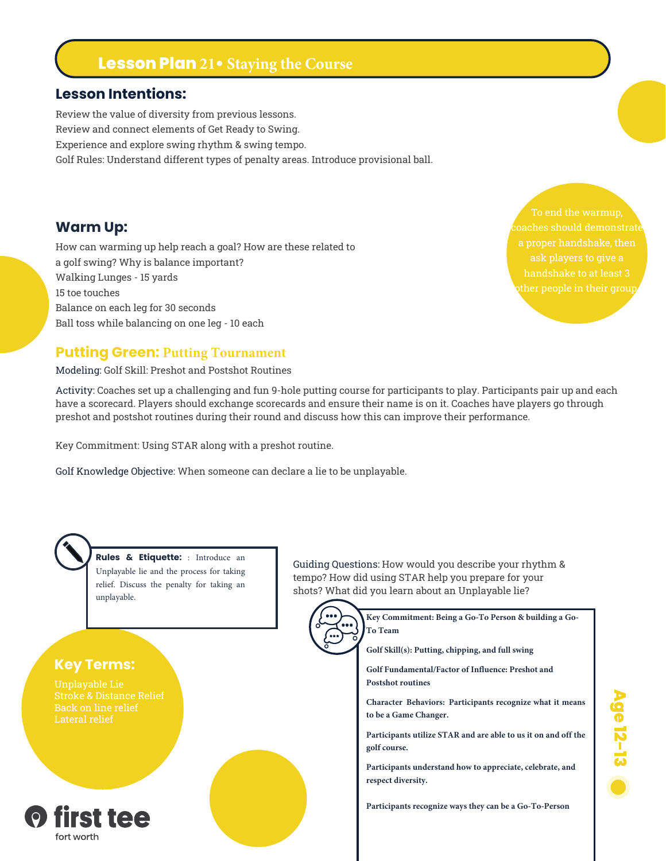# **Lesson Plan 21• Staying the Course**

### **Lesson Intentions:**

Review the value of diversity from previous lessons. Review and connect elements of Get Ready to Swing. Experience and explore swing rhythm & swing tempo. Golf Rules: Understand different types of penalty areas. Introduce provisional ball.

### **Warm Up:**

How can warming up help reach a goal? How are these related to a golf swing? Why is balance important? Walking Lunges - 15 yards 15 toe touches Balance on each leg for 30 seconds Ball toss while balancing on one leg - 10 each

To end the warmup, ask players to give a

Age 12-13

### **Putting Green: Putting Tournament**

#### Modeling: Golf Skill: Preshot and Postshot Routines

Activity: Coaches set up a challenging and fun 9-hole putting course for participants to play. Participants pair up and each have a scorecard. Players should exchange scorecards and ensure their name is on it. Coaches have players go through preshot and postshot routines during their round and discuss how this can improve their performance.

Key Commitment: Using STAR along with a preshot routine.

Golf Knowledge Objective: When someone can declare a lie to be unplayable.